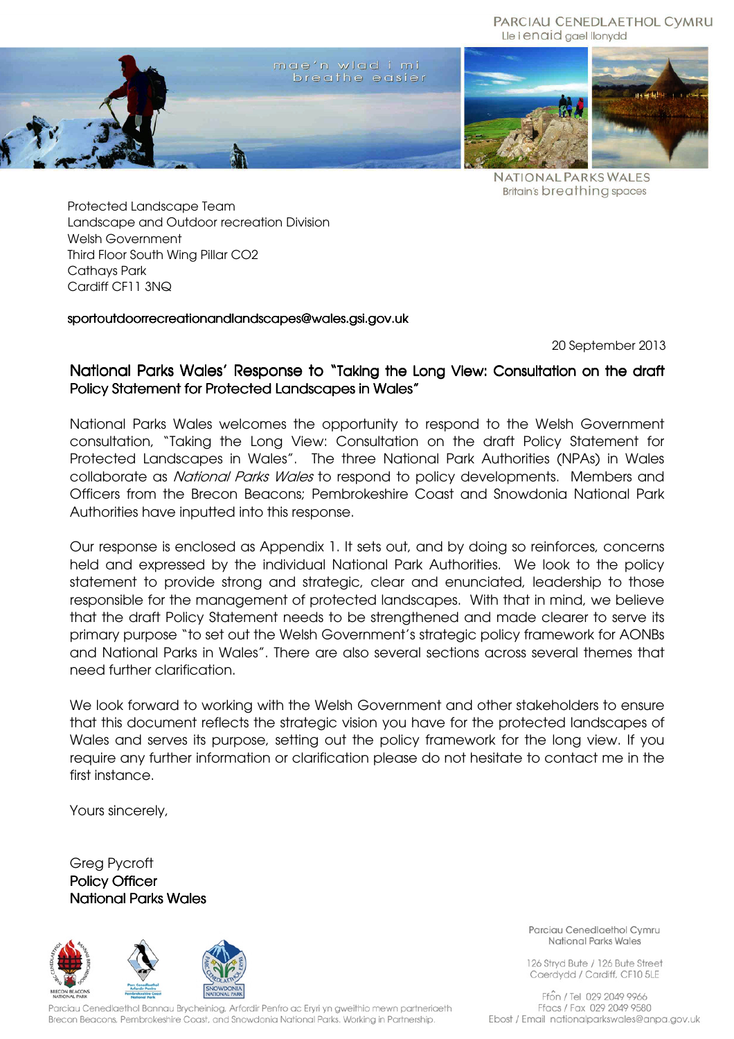#### PARCIAU CENEDLAETHOL CYMRU Lle i enaid gael llonydd



**NATIONAL PARKS WALES Britain's breathing spaces** 

Protected Landscape Team Landscape and Outdoor recreation Division Welsh Government Third Floor South Wing Pillar CO2 Cathays Park Cardiff CF11 3NQ

#### sportoutdoorrecreationandlandscapes@wales.asi.gov.uk

20 September 2013

# National Parks Wales' Response to "Taking the Long View: Consultation on the draft Policy Statement for Protected Landscapes in Wales"

National Parks Wales welcomes the opportunity to respond to the Welsh Government consultation, "Taking the Long View: Consultation on the draft Policy Statement for Protected Landscapes in Wales". The three National Park Authorities (NPAs) in Wales collaborate as National Parks Wales to respond to policy developments. Members and Officers from the Brecon Beacons; Pembrokeshire Coast and Snowdonia National Park Authorities have inputted into this response.

Our response is enclosed as Appendix 1. It sets out, and by doing so reinforces, concerns held and expressed by the individual National Park Authorities. We look to the policy statement to provide strong and strategic, clear and enunciated, leadership to those responsible for the management of protected landscapes. With that in mind, we believe that the draft Policy Statement needs to be strengthened and made clearer to serve its primary purpose "to set out the Welsh Government's strategic policy framework for AONBs and National Parks in Wales". There are also several sections across several themes that need further clarification.

We look forward to working with the Welsh Government and other stakeholders to ensure that this document reflects the strategic vision you have for the protected landscapes of Wales and serves its purpose, setting out the policy framework for the long view. If you require any further information or clarification please do not hesitate to contact me in the first instance.

Yours sincerely,

Greg Pycroft Policy Officer **National Parks Wales** 



Parciau Cenedlaethol Bannau Brycheiniog, Arfordir Penfro ac Eryri yn gweithio mewn partneriaeth Brecon Beacons, Pembrokeshire Coast, and Snowdonia National Parks. Working in Partnership.

Parciau Cenedlaethol Cymru National Parks Wales

126 Stryd Bute / 126 Bute Street Caerdydd / Cardiff, CF10 5LE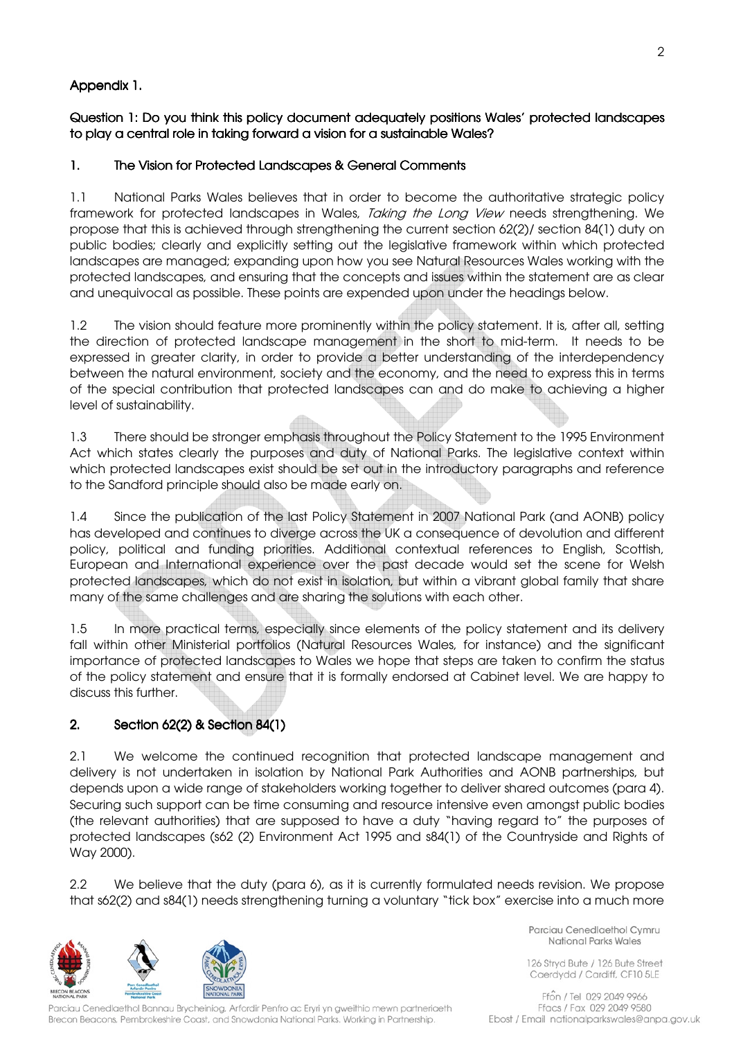# Appendix 1.

Question 1: Do you think this policy document adequately positions Wales' protected landscapes to play a central role in taking forward a vision for a sustainable Wales?

## 1. The Vision for Protected Landscapes & General Comments

1.1 National Parks Wales believes that in order to become the authoritative strategic policy framework for protected landscapes in Wales, Taking the Long View needs strengthening. We propose that this is achieved through strengthening the current section 62(2)/ section 84(1) duty on public bodies; clearly and explicitly setting out the legislative framework within which protected landscapes are managed; expanding upon how you see Natural Resources Wales working with the protected landscapes, and ensuring that the concepts and issues within the statement are as clear and unequivocal as possible. These points are expended upon under the headings below.

1.2 The vision should feature more prominently within the policy statement. It is, after all, setting the direction of protected landscape management in the short to mid-term. It needs to be expressed in greater clarity, in order to provide a better understanding of the interdependency between the natural environment, society and the economy, and the need to express this in terms of the special contribution that protected landscapes can and do make to achieving a higher level of sustainability.

1.3 There should be stronger emphasis throughout the Policy Statement to the 1995 Environment Act which states clearly the purposes and duty of National Parks. The legislative context within which protected landscapes exist should be set out in the introductory paragraphs and reference to the Sandford principle should also be made early on.

1.4 Since the publication of the last Policy Statement in 2007 National Park (and AONB) policy has developed and continues to diverge across the UK a consequence of devolution and different policy, political and funding priorities. Additional contextual references to English, Scottish, European and International experience over the past decade would set the scene for Welsh protected landscapes, which do not exist in isolation, but within a vibrant global family that share many of the same challenges and are sharing the solutions with each other.

1.5 In more practical terms, especially since elements of the policy statement and its delivery fall within other Ministerial portfolios (Natural Resources Wales, for instance) and the significant importance of protected landscapes to Wales we hope that steps are taken to confirm the status of the policy statement and ensure that it is formally endorsed at Cabinet level. We are happy to discuss this further.

## 2. Section  $62(2)$  & Section  $84(1)$

2.1 We welcome the continued recognition that protected landscape management and delivery is not undertaken in isolation by National Park Authorities and AONB partnerships, but depends upon a wide range of stakeholders working together to deliver shared outcomes (para 4). Securing such support can be time consuming and resource intensive even amongst public bodies (the relevant authorities) that are supposed to have a duty "having regard to" the purposes of protected landscapes (s62 (2) Environment Act 1995 and s84(1) of the Countryside and Rights of Way 2000).

2.2 We believe that the duty (para 6), as it is currently formulated needs revision. We propose that s62(2) and s84(1) needs strengthening turning a voluntary "tick box" exercise into a much more



Parciau Cenedlaethol Bannau Brycheiniog, Arfordir Penfro ac Eryri yn gweithio mewn partneriaeth Brecon Beacons, Pembrokeshire Coast, and Snowdonia National Parks. Working in Partnership.

Parciau Cenedlaethol Cymru National Parks Wales

126 Stryd Bute / 126 Bute Street Caerdydd / Cardiff, CF10 5LE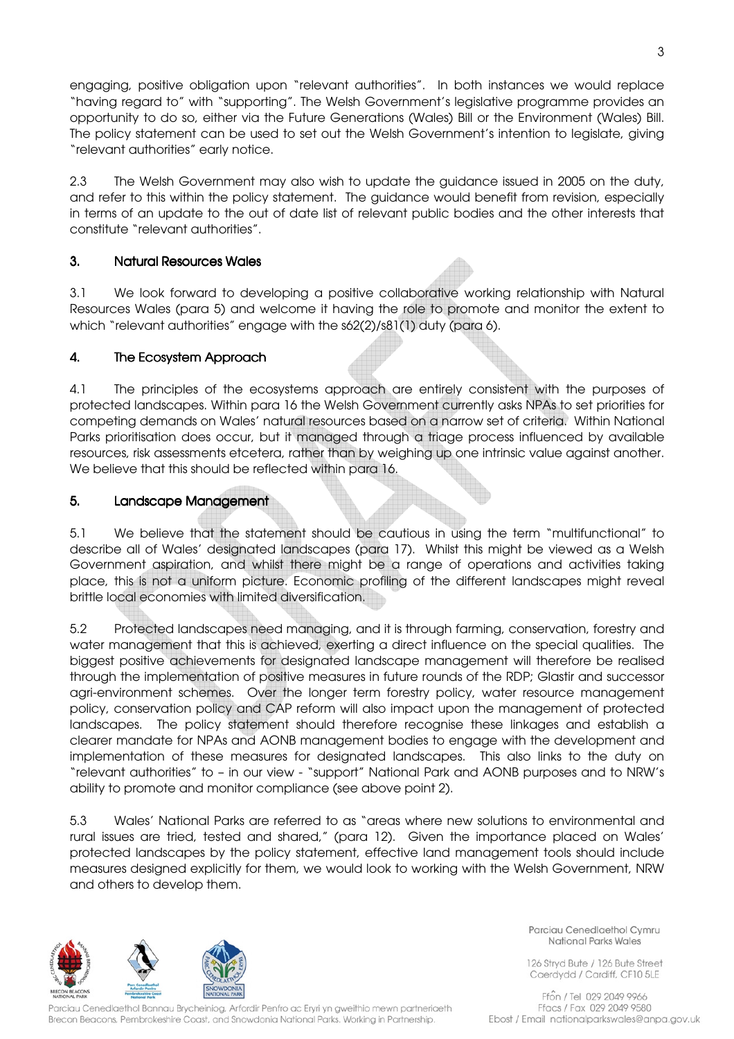engaging, positive obligation upon "relevant authorities". In both instances we would replace "having regard to" with "supporting". The Welsh Government's legislative programme provides an opportunity to do so, either via the Future Generations (Wales) Bill or the Environment (Wales) Bill. The policy statement can be used to set out the Welsh Government's intention to legislate, giving "relevant authorities" early notice.

2.3 The Welsh Government may also wish to update the guidance issued in 2005 on the duty, and refer to this within the policy statement. The guidance would benefit from revision, especially in terms of an update to the out of date list of relevant public bodies and the other interests that constitute "relevant authorities".

## 3. Natural Resources Wales Wales

3.1 We look forward to developing a positive collaborative working relationship with Natural Resources Wales (para 5) and welcome it having the role to promote and monitor the extent to which "relevant authorities" engage with the s62(2)/s81(1) duty (para 6).

## 4. The Ecosystem Approach

4.1 The principles of the ecosystems approach are entirely consistent with the purposes of protected landscapes. Within para 16 the Welsh Government currently asks NPAs to set priorities for competing demands on Wales' natural resources based on a narrow set of criteria. Within National Parks prioritisation does occur, but it managed through a triage process influenced by available resources, risk assessments etcetera, rather than by weighing up one intrinsic value against another. We believe that this should be reflected within para 16.

## 5. Landscape Management

5.1 We believe that the statement should be cautious in using the term "multifunctional" to describe all of Wales' designated landscapes (para 17). Whilst this might be viewed as a Welsh Government aspiration, and whilst there might be a range of operations and activities taking place, this is not a uniform picture. Economic profiling of the different landscapes might reveal brittle local economies with limited diversification.

5.2 Protected landscapes need managing, and it is through farming, conservation, forestry and water management that this is achieved, exerting a direct influence on the special qualities. The biggest positive achievements for designated landscape management will therefore be realised through the implementation of positive measures in future rounds of the RDP; Glastir and successor agri-environment schemes. Over the longer term forestry policy, water resource management policy, conservation policy and CAP reform will also impact upon the management of protected landscapes. The policy statement should therefore recognise these linkages and establish a clearer mandate for NPAs and AONB management bodies to engage with the development and implementation of these measures for designated landscapes. This also links to the duty on "relevant authorities" to – in our view - "support" National Park and AONB purposes and to NRW's ability to promote and monitor compliance (see above point 2).

5.3 Wales' National Parks are referred to as "areas where new solutions to environmental and rural issues are tried, tested and shared," (para 12). Given the importance placed on Wales' protected landscapes by the policy statement, effective land management tools should include measures designed explicitly for them, we would look to working with the Welsh Government, NRW and others to develop them.



Parciau Cenedlaethol Bannau Brycheiniog, Arfordir Penfro ac Eryri yn gweithio mewn partneriaeth Brecon Beacons, Pembrokeshire Coast, and Snowdonia National Parks. Working in Partnership.

Parciau Cenedlaethol Cymru National Parks Wales

126 Stryd Bute / 126 Bute Street Caerdydd / Cardiff, CF10 5LE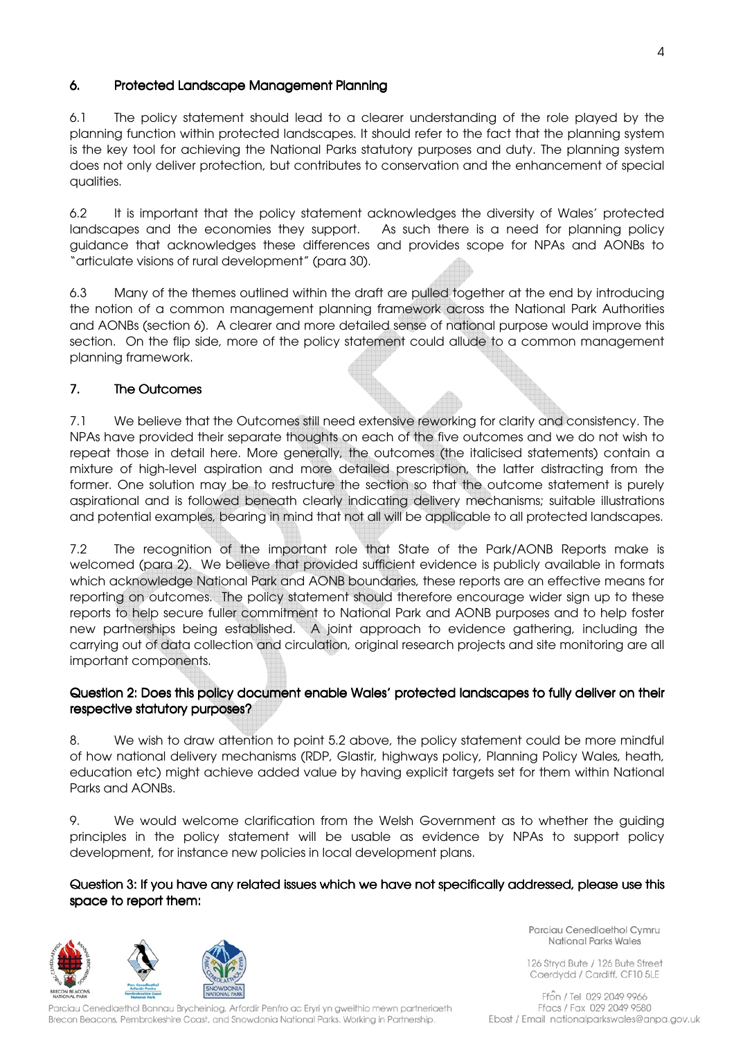# 6. Protected Landscape Management Planning

6.1 The policy statement should lead to a clearer understanding of the role played by the planning function within protected landscapes. It should refer to the fact that the planning system is the key tool for achieving the National Parks statutory purposes and duty. The planning system does not only deliver protection, but contributes to conservation and the enhancement of special qualities.

6.2 It is important that the policy statement acknowledges the diversity of Wales' protected landscapes and the economies they support. As such there is a need for planning policy guidance that acknowledges these differences and provides scope for NPAs and AONBs to "articulate visions of rural development" (para 30).

6.3 Many of the themes outlined within the draft are pulled together at the end by introducing the notion of a common management planning framework across the National Park Authorities and AONBs (section 6). A clearer and more detailed sense of national purpose would improve this section. On the flip side, more of the policy statement could allude to a common management planning framework.

## 7. The Outcomes

7.1 We believe that the Outcomes still need extensive reworking for clarity and consistency. The NPAs have provided their separate thoughts on each of the five outcomes and we do not wish to repeat those in detail here. More generally, the outcomes (the italicised statements) contain a mixture of high-level aspiration and more detailed prescription, the latter distracting from the former. One solution may be to restructure the section so that the outcome statement is purely aspirational and is followed beneath clearly indicating delivery mechanisms; suitable illustrations and potential examples, bearing in mind that not all will be applicable to all protected landscapes.

7.2 The recognition of the important role that State of the Park/AONB Reports make is welcomed (para 2). We believe that provided sufficient evidence is publicly available in formats which acknowledge National Park and AONB boundaries, these reports are an effective means for reporting on outcomes. The policy statement should therefore encourage wider sign up to these reports to help secure fuller commitment to National Park and AONB purposes and to help foster new partnerships being established. A joint approach to evidence gathering, including the carrying out of data collection and circulation, original research projects and site monitoring are all important components.

#### Question 2: Does this policy document enable Wales' protected landscapes to fully deliver on their respective statutory purposes?

8. We wish to draw attention to point 5.2 above, the policy statement could be more mindful of how national delivery mechanisms (RDP, Glastir, highways policy, Planning Policy Wales, heath, education etc) might achieve added value by having explicit targets set for them within National Parks and AONBs.

9. We would welcome clarification from the Welsh Government as to whether the guiding principles in the policy statement will be usable as evidence by NPAs to support policy development, for instance new policies in local development plans.

## Question 3: If you have any related issues which we have not specifically addressed, please use this space to report them:



Parciau Cenedlaethol Bannau Brycheiniog, Arfordir Penfro ac Eryri yn gweithio mewn partneriaeth Brecon Beacons, Pembrokeshire Coast, and Snowdonia National Parks. Working in Partnership.

Parciau Cenedlaethol Cymru National Parks Wales

126 Stryd Bute / 126 Bute Street Caerdydd / Cardiff, CF10 5LE